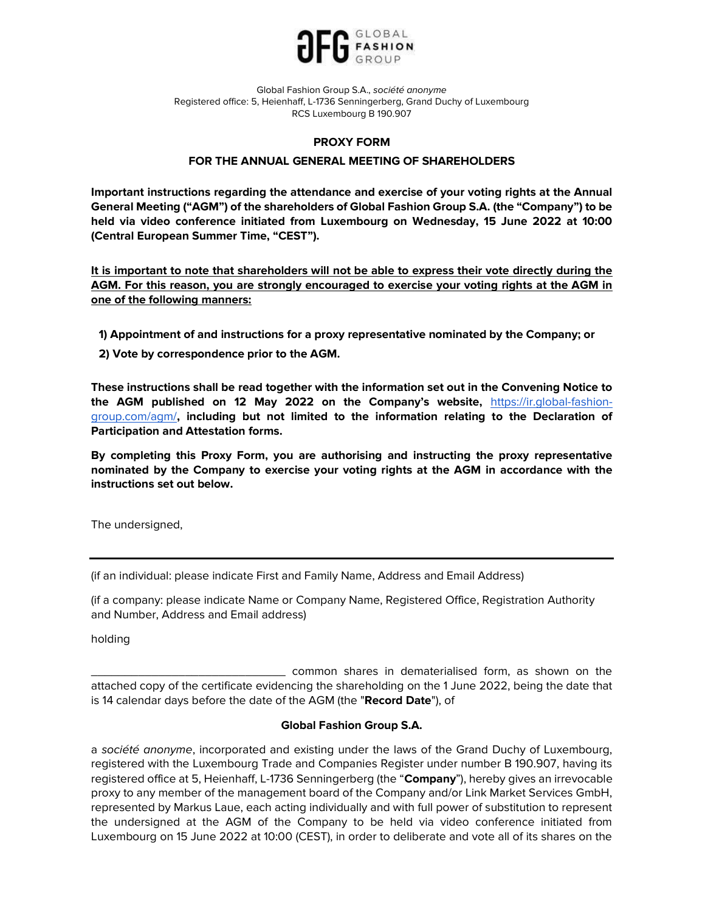

# PROXY FORM

# FOR THE ANNUAL GENERAL MEETING OF SHAREHOLDERS

Important instructions regarding the attendance and exercise of your voting rights at the Annual General Meeting ("AGM") of the shareholders of Global Fashion Group S.A. (the "Company") to be held via video conference initiated from Luxembourg on Wednesday, 15 June 2022 at 10:00 (Central European Summer Time, "CEST").

It is important to note that shareholders will not be able to express their vote directly during the AGM. For this reason, you are strongly encouraged to exercise your voting rights at the AGM in one of the following manners:

- 1) Appointment of and instructions for a proxy representative nominated by the Company; or
- 2) Vote by correspondence prior to the AGM.

These instructions shall be read together with the information set out in the Convening Notice to the AGM published on 12 May 2022 on the Company's website, https://ir.global-fashiongroup.com/agm/, including but not limited to the information relating to the Declaration of Participation and Attestation forms.

By completing this Proxy Form, you are authorising and instructing the proxy representative nominated by the Company to exercise your voting rights at the AGM in accordance with the instructions set out below.

The undersigned,

(if an individual: please indicate First and Family Name, Address and Email Address)

(if a company: please indicate Name or Company Name, Registered Office, Registration Authority and Number, Address and Email address)

holding

\_\_\_\_\_\_\_\_\_\_\_\_\_\_\_\_\_\_\_\_\_\_\_\_\_\_\_\_\_ common shares in dematerialised form, as shown on the attached copy of the certificate evidencing the shareholding on the 1 June 2022, being the date that is 14 calendar days before the date of the AGM (the "Record Date"), of

## Global Fashion Group S.A.

a société anonyme, incorporated and existing under the laws of the Grand Duchy of Luxembourg, registered with the Luxembourg Trade and Companies Register under number B 190.907, having its registered office at 5, Heienhaff, L-1736 Senningerberg (the "Company"), hereby gives an irrevocable proxy to any member of the management board of the Company and/or Link Market Services GmbH, represented by Markus Laue, each acting individually and with full power of substitution to represent the undersigned at the AGM of the Company to be held via video conference initiated from Luxembourg on 15 June 2022 at 10:00 (CEST), in order to deliberate and vote all of its shares on the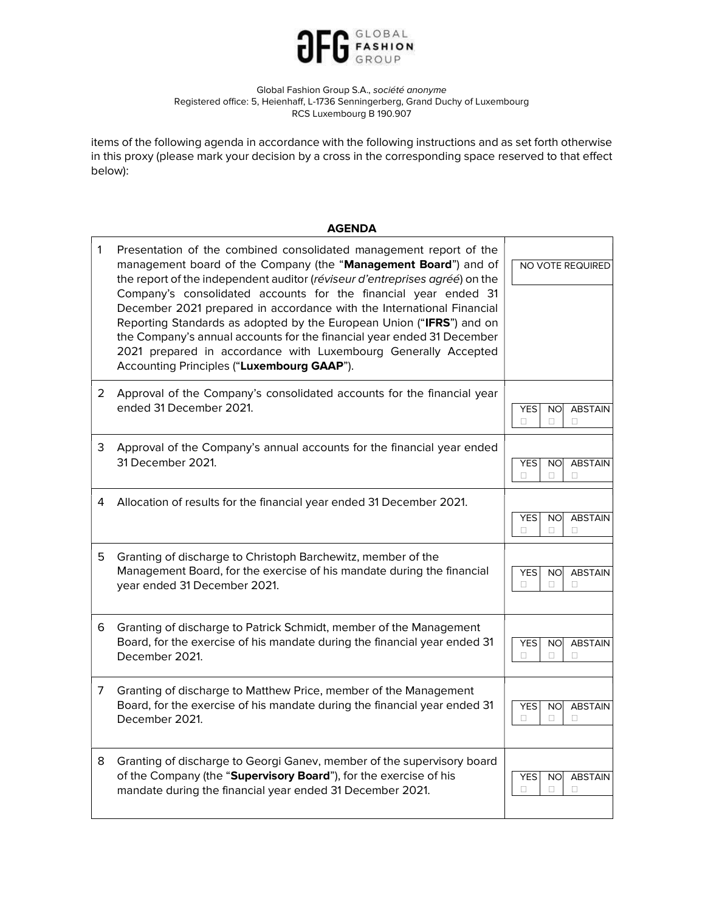

items of the following agenda in accordance with the following instructions and as set forth otherwise in this proxy (please mark your decision by a cross in the corresponding space reserved to that effect below):

| <b>AGENDA</b> |                                                                                                                                                                                                                                                                                                                                                                                                                                                                                                                                                                                                                                    |                                                                 |  |  |
|---------------|------------------------------------------------------------------------------------------------------------------------------------------------------------------------------------------------------------------------------------------------------------------------------------------------------------------------------------------------------------------------------------------------------------------------------------------------------------------------------------------------------------------------------------------------------------------------------------------------------------------------------------|-----------------------------------------------------------------|--|--|
| 1             | Presentation of the combined consolidated management report of the<br>management board of the Company (the "Management Board") and of<br>the report of the independent auditor (réviseur d'entreprises agréé) on the<br>Company's consolidated accounts for the financial year ended 31<br>December 2021 prepared in accordance with the International Financial<br>Reporting Standards as adopted by the European Union ("IFRS") and on<br>the Company's annual accounts for the financial year ended 31 December<br>2021 prepared in accordance with Luxembourg Generally Accepted<br>Accounting Principles ("Luxembourg GAAP"). | NO VOTE REQUIRED                                                |  |  |
| 2             | Approval of the Company's consolidated accounts for the financial year<br>ended 31 December 2021.                                                                                                                                                                                                                                                                                                                                                                                                                                                                                                                                  | <b>YES</b><br><b>NO</b><br><b>ABSTAIN</b><br>$\Box$<br>O.<br>П. |  |  |
| 3             | Approval of the Company's annual accounts for the financial year ended<br>31 December 2021.                                                                                                                                                                                                                                                                                                                                                                                                                                                                                                                                        | <b>ABSTAIN</b><br><b>YES</b><br><b>NO</b><br>$\Box$<br>O.<br>□  |  |  |
| 4             | Allocation of results for the financial year ended 31 December 2021.                                                                                                                                                                                                                                                                                                                                                                                                                                                                                                                                                               | <b>YES</b><br><b>NO</b><br><b>ABSTAIN</b><br>□<br>□<br>п        |  |  |
| 5             | Granting of discharge to Christoph Barchewitz, member of the<br>Management Board, for the exercise of his mandate during the financial<br>year ended 31 December 2021.                                                                                                                                                                                                                                                                                                                                                                                                                                                             | <b>YES</b><br><b>NO</b><br><b>ABSTAIN</b><br>П<br>П<br>п        |  |  |
| 6             | Granting of discharge to Patrick Schmidt, member of the Management<br>Board, for the exercise of his mandate during the financial year ended 31<br>December 2021.                                                                                                                                                                                                                                                                                                                                                                                                                                                                  | <b>ABSTAIN</b><br><b>YES</b><br><b>NO</b><br>п<br>□<br>п        |  |  |
| 7             | Granting of discharge to Matthew Price, member of the Management<br>Board, for the exercise of his mandate during the financial year ended 31<br>December 2021.                                                                                                                                                                                                                                                                                                                                                                                                                                                                    | <b>YES</b><br><b>ABSTAIN</b><br><b>NO</b><br>п<br>п<br>п        |  |  |
| 8             | Granting of discharge to Georgi Ganev, member of the supervisory board<br>of the Company (the "Supervisory Board"), for the exercise of his<br>mandate during the financial year ended 31 December 2021.                                                                                                                                                                                                                                                                                                                                                                                                                           | <b>YES</b><br><b>NO</b><br><b>ABSTAIN</b><br>□<br>п<br>п        |  |  |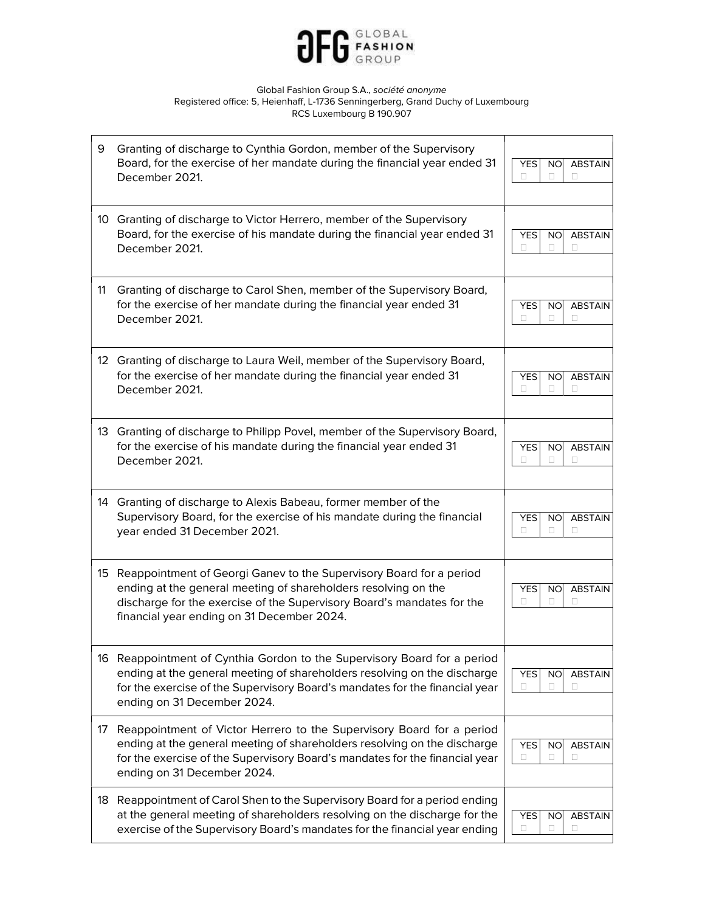

| 9  | Granting of discharge to Cynthia Gordon, member of the Supervisory<br>Board, for the exercise of her mandate during the financial year ended 31<br>December 2021.                                                                                                  | <b>YES</b><br><b>ABSTAIN</b><br><b>NO</b><br>0<br>п<br>п  |
|----|--------------------------------------------------------------------------------------------------------------------------------------------------------------------------------------------------------------------------------------------------------------------|-----------------------------------------------------------|
| 10 | Granting of discharge to Victor Herrero, member of the Supervisory<br>Board, for the exercise of his mandate during the financial year ended 31<br>December 2021.                                                                                                  | <b>ABSTAIN</b><br><b>YES</b><br><b>NO</b><br>п<br>П.<br>п |
| 11 | Granting of discharge to Carol Shen, member of the Supervisory Board,<br>for the exercise of her mandate during the financial year ended 31<br>December 2021.                                                                                                      | <b>YES</b><br><b>NO</b><br><b>ABSTAIN</b><br>п<br>п<br>п  |
|    | 12 Granting of discharge to Laura Weil, member of the Supervisory Board,<br>for the exercise of her mandate during the financial year ended 31<br>December 2021.                                                                                                   | <b>ABSTAIN</b><br><b>YES</b><br><b>NO</b><br>0<br>п<br>п  |
|    | 13 Granting of discharge to Philipp Povel, member of the Supervisory Board,<br>for the exercise of his mandate during the financial year ended 31<br>December 2021.                                                                                                | <b>ABSTAIN</b><br>YES<br><b>NO</b><br>п<br>п<br>п         |
|    | 14 Granting of discharge to Alexis Babeau, former member of the<br>Supervisory Board, for the exercise of his mandate during the financial<br>year ended 31 December 2021.                                                                                         | <b>YES</b><br><b>ABSTAIN</b><br><b>NO</b>                 |
|    |                                                                                                                                                                                                                                                                    | п<br>П.<br>п                                              |
|    | 15 Reappointment of Georgi Ganev to the Supervisory Board for a period<br>ending at the general meeting of shareholders resolving on the<br>discharge for the exercise of the Supervisory Board's mandates for the<br>financial year ending on 31 December 2024.   | <b>ABSTAIN</b><br><b>YES</b><br><b>NO</b><br>П<br>□<br>п  |
|    | 16 Reappointment of Cynthia Gordon to the Supervisory Board for a period<br>ending at the general meeting of shareholders resolving on the discharge<br>for the exercise of the Supervisory Board's mandates for the financial year<br>ending on 31 December 2024. | <b>ABSTAIN</b><br><b>YES</b><br><b>NO</b><br>0<br>□<br>□  |
| 17 | Reappointment of Victor Herrero to the Supervisory Board for a period<br>ending at the general meeting of shareholders resolving on the discharge<br>for the exercise of the Supervisory Board's mandates for the financial year<br>ending on 31 December 2024.    | <b>YES</b><br><b>ABSTAIN</b><br><b>NO</b><br>□<br>□<br>□  |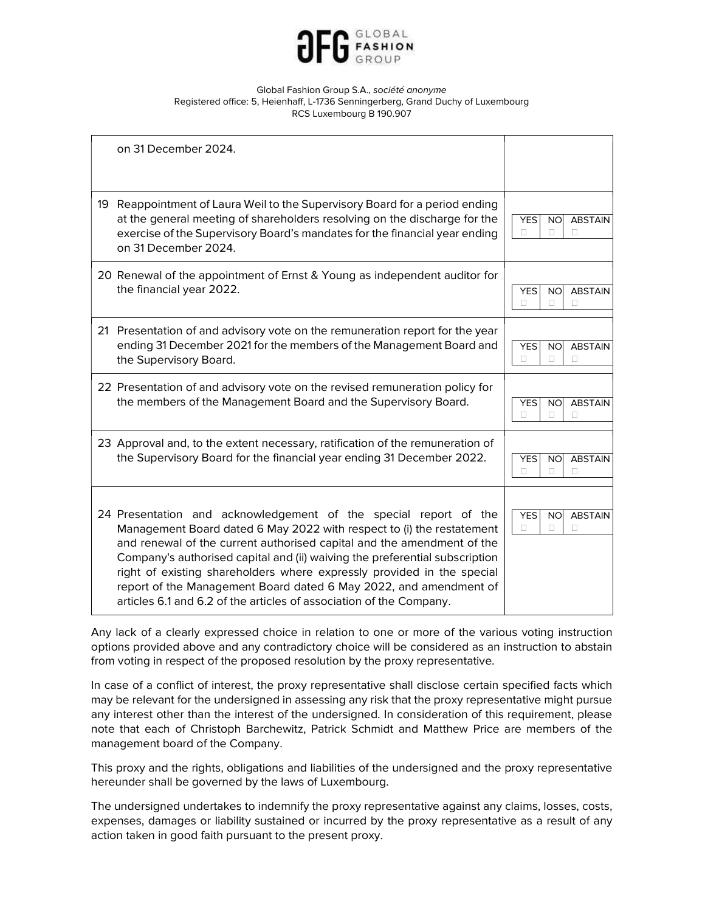

|    | on 31 December 2024.                                                                                                                                                                                                                                                                                                                                                                                                                                                                                                     |                                                          |
|----|--------------------------------------------------------------------------------------------------------------------------------------------------------------------------------------------------------------------------------------------------------------------------------------------------------------------------------------------------------------------------------------------------------------------------------------------------------------------------------------------------------------------------|----------------------------------------------------------|
| 19 | Reappointment of Laura Weil to the Supervisory Board for a period ending<br>at the general meeting of shareholders resolving on the discharge for the<br>exercise of the Supervisory Board's mandates for the financial year ending<br>on 31 December 2024.                                                                                                                                                                                                                                                              | <b>YES</b><br><b>ABSTAIN</b><br><b>NO</b><br>п<br>n.     |
|    | 20 Renewal of the appointment of Ernst & Young as independent auditor for<br>the financial year 2022.                                                                                                                                                                                                                                                                                                                                                                                                                    | <b>ABSTAIN</b><br><b>YES</b><br><b>NO</b><br>п<br>п<br>п |
|    | 21 Presentation of and advisory vote on the remuneration report for the year<br>ending 31 December 2021 for the members of the Management Board and<br>the Supervisory Board.                                                                                                                                                                                                                                                                                                                                            | <b>YES</b><br><b>ABSTAIN</b><br><b>NO</b><br>п<br>п<br>П |
|    | 22 Presentation of and advisory vote on the revised remuneration policy for<br>the members of the Management Board and the Supervisory Board.                                                                                                                                                                                                                                                                                                                                                                            | <b>ABSTAIN</b><br><b>YES</b><br><b>NO</b><br>п<br>п<br>п |
|    | 23 Approval and, to the extent necessary, ratification of the remuneration of<br>the Supervisory Board for the financial year ending 31 December 2022.                                                                                                                                                                                                                                                                                                                                                                   | <b>ABSTAIN</b><br><b>YES</b><br><b>NO</b><br>п<br>п<br>п |
|    | 24 Presentation and acknowledgement of the special report of the<br>Management Board dated 6 May 2022 with respect to (i) the restatement<br>and renewal of the current authorised capital and the amendment of the<br>Company's authorised capital and (ii) waiving the preferential subscription<br>right of existing shareholders where expressly provided in the special<br>report of the Management Board dated 6 May 2022, and amendment of<br>articles 6.1 and 6.2 of the articles of association of the Company. | <b>YES</b><br><b>NO</b><br><b>ABSTAIN</b><br>□<br>п<br>П |

Any lack of a clearly expressed choice in relation to one or more of the various voting instruction options provided above and any contradictory choice will be considered as an instruction to abstain from voting in respect of the proposed resolution by the proxy representative.

In case of a conflict of interest, the proxy representative shall disclose certain specified facts which may be relevant for the undersigned in assessing any risk that the proxy representative might pursue any interest other than the interest of the undersigned. In consideration of this requirement, please note that each of Christoph Barchewitz, Patrick Schmidt and Matthew Price are members of the management board of the Company.

This proxy and the rights, obligations and liabilities of the undersigned and the proxy representative hereunder shall be governed by the laws of Luxembourg.

The undersigned undertakes to indemnify the proxy representative against any claims, losses, costs, expenses, damages or liability sustained or incurred by the proxy representative as a result of any action taken in good faith pursuant to the present proxy.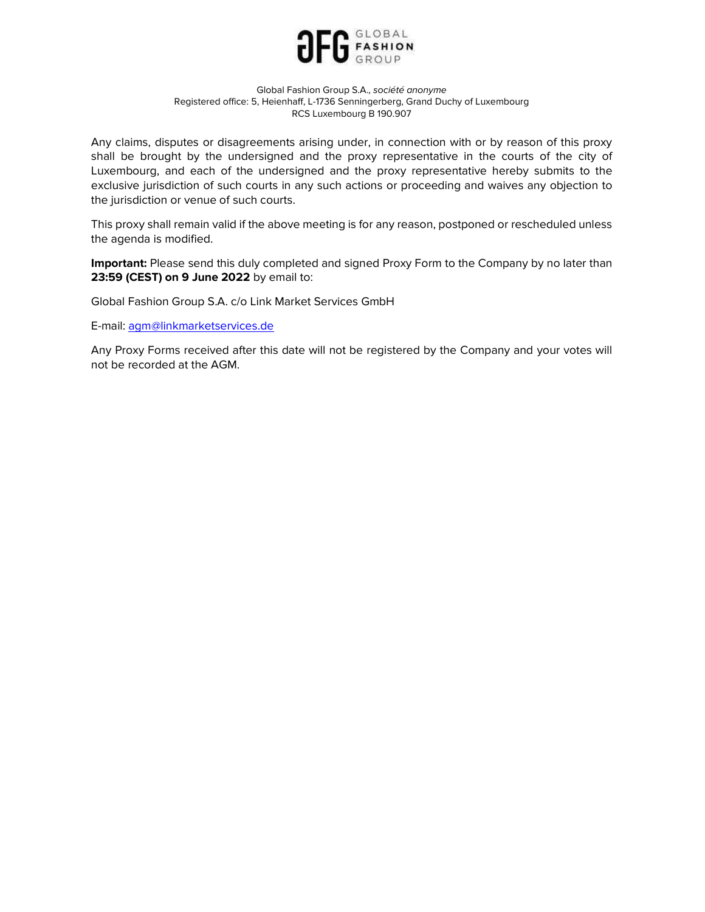

Any claims, disputes or disagreements arising under, in connection with or by reason of this proxy shall be brought by the undersigned and the proxy representative in the courts of the city of Luxembourg, and each of the undersigned and the proxy representative hereby submits to the exclusive jurisdiction of such courts in any such actions or proceeding and waives any objection to the jurisdiction or venue of such courts.

This proxy shall remain valid if the above meeting is for any reason, postponed or rescheduled unless the agenda is modified.

Important: Please send this duly completed and signed Proxy Form to the Company by no later than 23:59 (CEST) on 9 June 2022 by email to:

Global Fashion Group S.A. c/o Link Market Services GmbH

E-mail: agm@linkmarketservices.de

Any Proxy Forms received after this date will not be registered by the Company and your votes will not be recorded at the AGM.